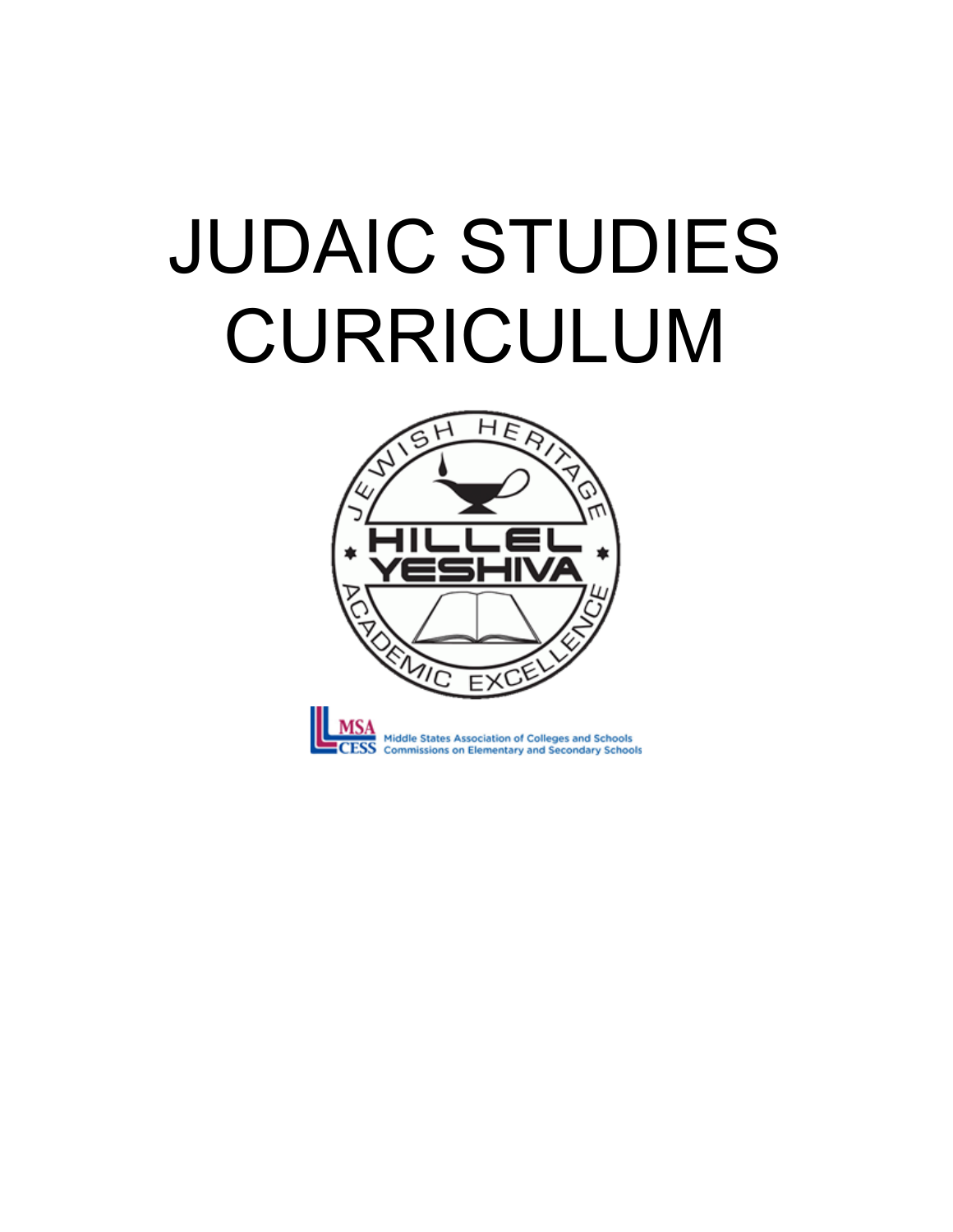# JUDAIC STUDIES CURRICULUM



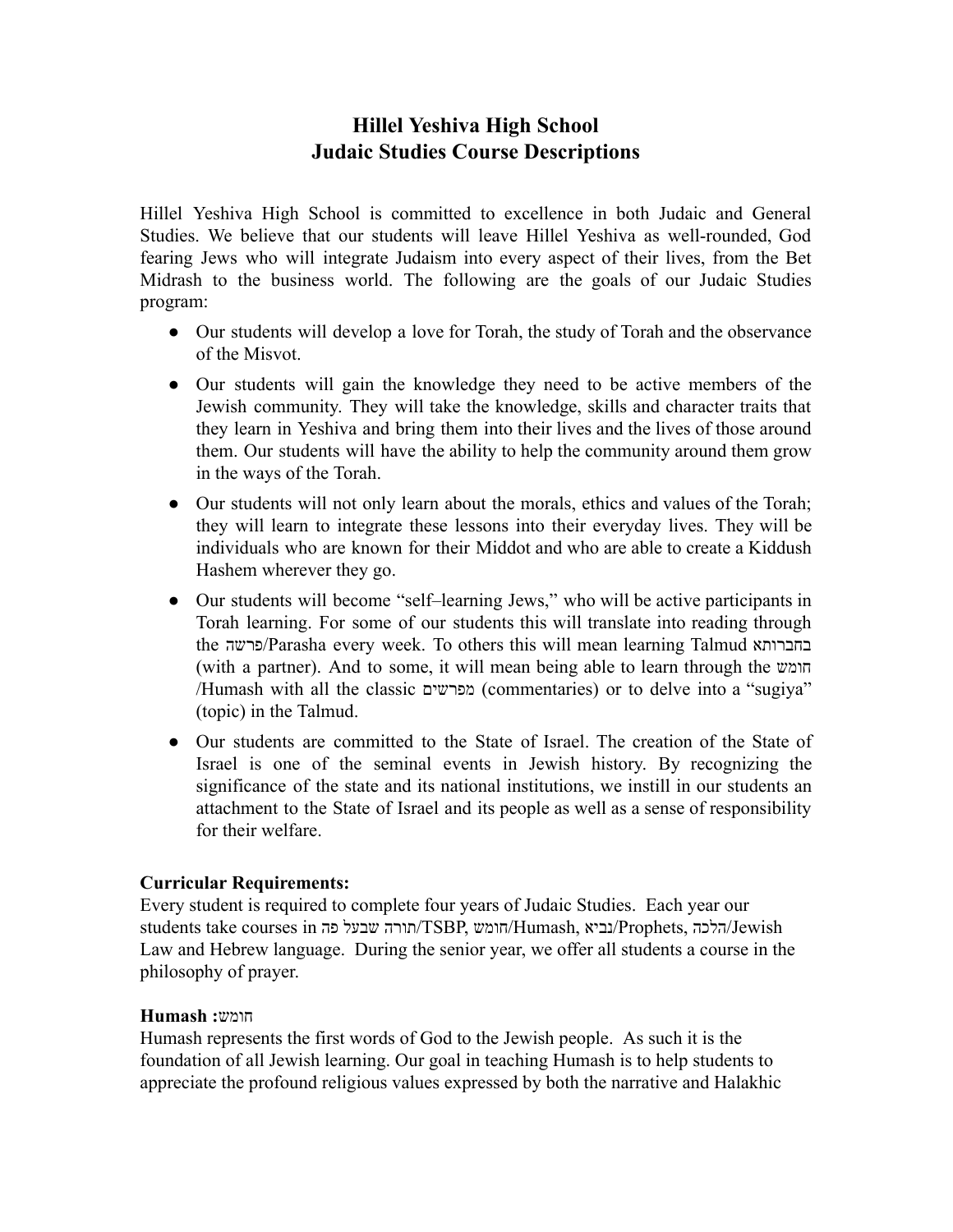## **Hillel Yeshiva High School Judaic Studies Course Descriptions**

Hillel Yeshiva High School is committed to excellence in both Judaic and General Studies. We believe that our students will leave Hillel Yeshiva as well-rounded, God fearing Jews who will integrate Judaism into every aspect of their lives, from the Bet Midrash to the business world. The following are the goals of our Judaic Studies program:

- Our students will develop a love for Torah, the study of Torah and the observance of the Misvot.
- Our students will gain the knowledge they need to be active members of the Jewish community. They will take the knowledge, skills and character traits that they learn in Yeshiva and bring them into their lives and the lives of those around them. Our students will have the ability to help the community around them grow in the ways of the Torah.
- Our students will not only learn about the morals, ethics and values of the Torah; they will learn to integrate these lessons into their everyday lives. They will be individuals who are known for their Middot and who are able to create a Kiddush Hashem wherever they go.
- Our students will become "self–learning Jews," who will be active participants in Torah learning. For some of our students this will translate into reading through the פרשה/Parasha every week. To others this will mean learning Talmud בחברותא (with a partner). And to some, it will mean being able to learn through the חומש /Humash with all the classic מפרשים) commentaries) or to delve into a "sugiya" (topic) in the Talmud.
- Our students are committed to the State of Israel. The creation of the State of Israel is one of the seminal events in Jewish history. By recognizing the significance of the state and its national institutions, we instill in our students an attachment to the State of Israel and its people as well as a sense of responsibility for their welfare.

### **Curricular Requirements:**

Every student is required to complete four years of Judaic Studies. Each year our students take courses in תורהשבעלפה/TSBP, חומש/Humash, נביא/Prophets, הלכה/Jewish Law and Hebrew language. During the senior year, we offer all students a course in the philosophy of prayer.

#### חומש **: Humash**

Humash represents the first words of God to the Jewish people. As such it is the foundation of all Jewish learning. Our goal in teaching Humash is to help students to appreciate the profound religious values expressed by both the narrative and Halakhic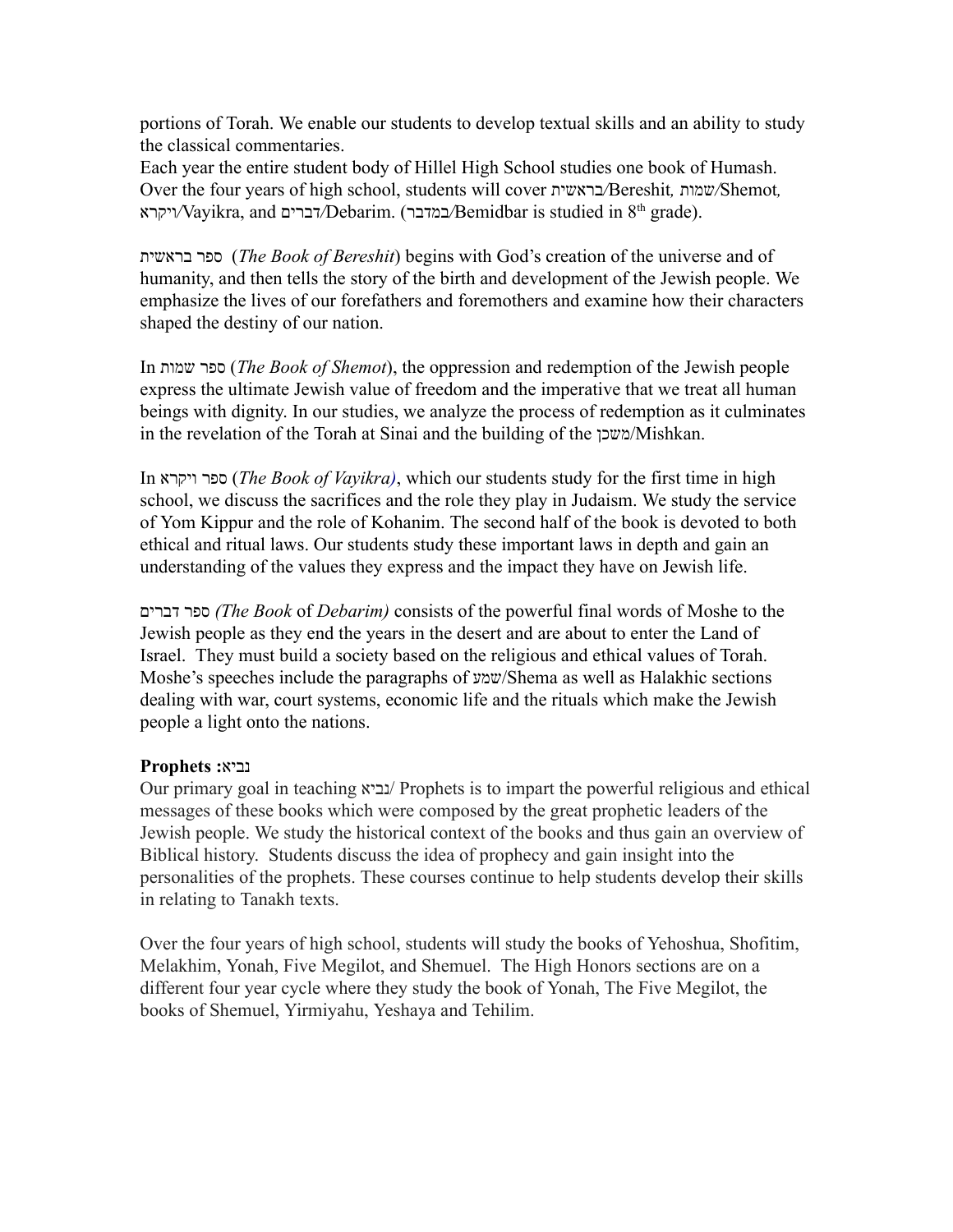portions of Torah. We enable our students to develop textual skills and an ability to study the classical commentaries.

Each year the entire student body of Hillel High School studies one book of Humash. Over the four years of high school, students will cover בראשית*/* Bereshit *,* שמות*/* Shemot *,*  ויקרא*/* Vayikra, and דברים*/* Debarim. ( במדבר*/* Bemidbar is studied in 8 th grade).

ספרבראשית ) *The Book of Bereshit* ) begins with God's creation of the universe and of humanity, and then tells the story of the birth and development of the Jewish people. We emphasize the lives of our forefathers and foremothers and examine how their characters shaped the destiny of our nation.

In ספרשמות ) *The Book of Shemot* ), the oppression and redemption of the Jewish people express the ultimate Jewish value of freedom and the imperative that we treat all human beings with dignity. In our studies, we analyze the process of redemption as it culminates in the revelation of the Torah at Sinai and the building of the משכן/Mishkan.

In ספרויקרא ) *The Book of Vayikra )* , which our students study for the first time in high school, we discuss the sacrifices and the role they play in Judaism. We study the service of Yom Kippur and the role of Kohanim. The second half of the book is devoted to both ethical and ritual laws. Our students study these important laws in depth and gain an understanding of the values they express and the impact they have on Jewish life.

ספרדברים*) The Book* of *Debarim)* consists of the powerful final words of Moshe to the Jewish people as they end the years in the desert and are about to enter the Land of Israel. They must build a society based on the religious and ethical values of Torah. Moshe's speeches include the paragraphs of שמע/Shema as well as Halakhic sections dealing with war, court systems, economic life and the rituals which make the Jewish people a light onto the nations.

### נביא **: Prophets**

Our primary goal in teaching נביא/ Prophets is to impart the powerful religious and ethical messages of these books which were composed by the great prophetic leaders of the Jewish people. We study the historical context of the books and thus gain an overview of Biblical history. Students discuss the idea of prophecy and gain insight into the personalities of the prophets. These courses continue to help students develop their skills in relating to Tanakh texts.

Over the four years of high school, students will study the books of Yehoshua, Shofitim, Melakhim, Yonah, Five Megilot, and Shemuel. The High Honors sections are on a different four year cycle where they study the book of Yonah, The Five Megilot, the books of Shemuel, Yirmiyahu, Yeshaya and Tehilim.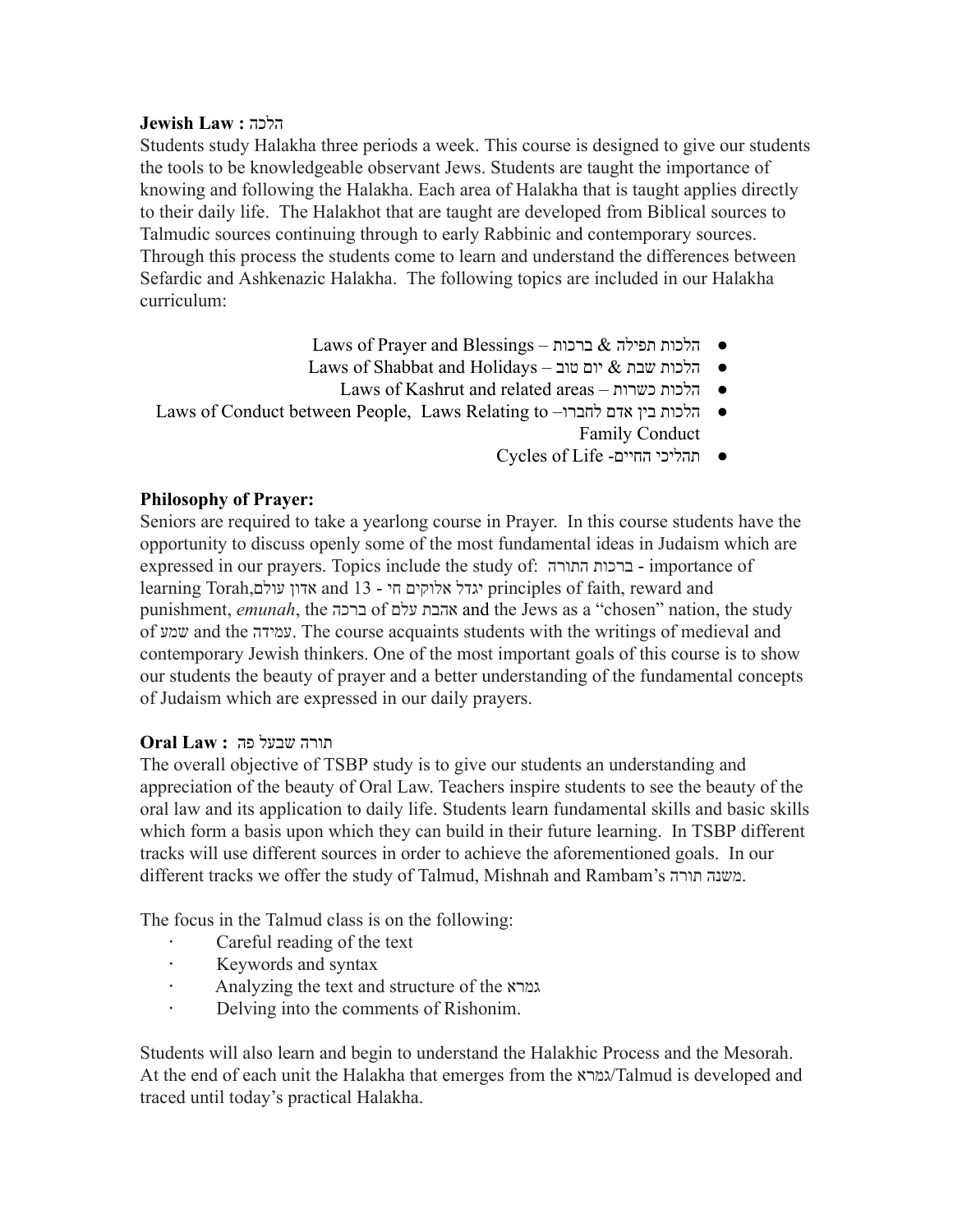#### **Jewish Law :** הלכה

Students study Halakha three periods a week. This course is designed to give our students the tools to be knowledgeable observant Jews. Students are taught the importance of knowing and following the Halakha. Each area of Halakha that is taught applies directly to their daily life. The Halakhot that are taught are developed from Biblical sources to Talmudic sources continuing through to early Rabbinic and contemporary sources. Through this process the students come to learn and understand the differences between Sefardic and Ashkenazic Halakha. The following topics are included in our Halakha curriculum:

- Laws of Prayer and Blessings הלכות תפילה & ברכות
- Laws of Shabbat and Holidays הלכות שבת $\&$ יום טוב
	- Laws of Kashrut and related areas –הלכותכשרות●
- Laws of Conduct between People, Laws Relating to –הלכותביןאדםלחברו● Family Conduct
	- Cycles of Life -תהליכיהחיים●

## **Philosophy of Prayer:**

Seniors are required to take a yearlong course in Prayer. In this course students have the opportunity to discuss openly some of the most fundamental ideas in Judaism which are expressed in our prayers. Topics include the study of: ברכותהתורה - importance of learning Torah, אדוןעולם and 13 - יגדלאלוקיםחי principles of faith, reward and punishment, *emunah* , the ברכה of אהבתעלם andthe Jews as a "chosen" nation, the study of שמע and the עמידה. The course acquaints students with the writings of medieval and contemporary Jewish thinkers. One of the most important goals of this course is to show our students the beauty of prayer and a better understanding of the fundamental concepts of Judaism which are expressed in our daily prayers.

### **Oral Law :** תורהשבעלפה

The overall objective of TSBP study is to give our students an understanding and appreciation of the beauty of Oral Law. Teachers inspire students to see the beauty of the oral law and its application to daily life. Students learn fundamental skills and basic skills which form a basis upon which they can build in their future learning. In TSBP different tracks will use different sources in order to achieve the aforementioned goals. In our different tracks we offer the study of Talmud, Mishnah and Rambam's משנהתורה.

The focus in the Talmud class is on the following:

- **·** Careful reading of the text
- **·** Keywords and syntax
- **·** Analyzing the text and structure of the גמרא
- **·** Delving into the comments of Rishonim.

Students will also learn and begin to understand the Halakhic Process and the Mesorah. At the end of each unit the Halakha that emerges from the גמרא/Talmud is developed and traced until today's practical Halakha.